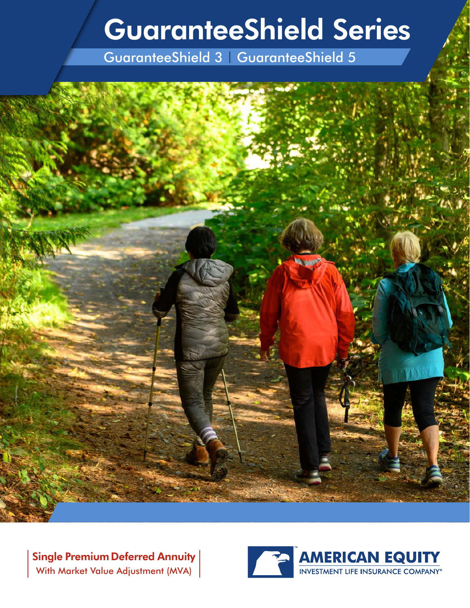# GuaranteeShield Series

GuaranteeShield 3 | GuaranteeShield 5

Single Premium Deferred Annuity With Market Value Adjustment (MVA)

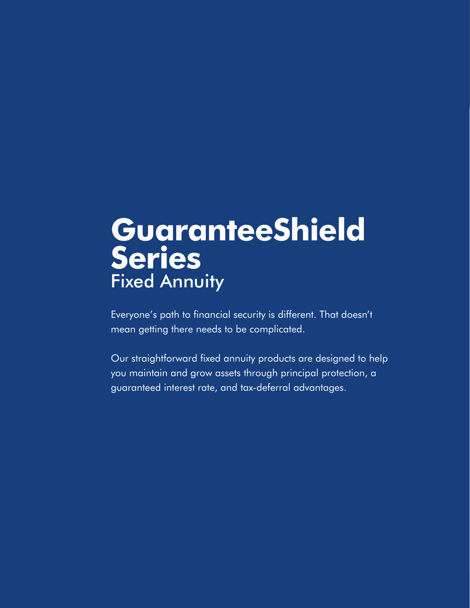# Fixed Annuity **GuaranteeShield Series**

Everyone's path to financial security is different. That doesn't mean getting there needs to be complicated.

Our straightforward fixed annuity products are designed to help you maintain and grow assets through principal protection, a guaranteed interest rate, and tax-deferral advantages.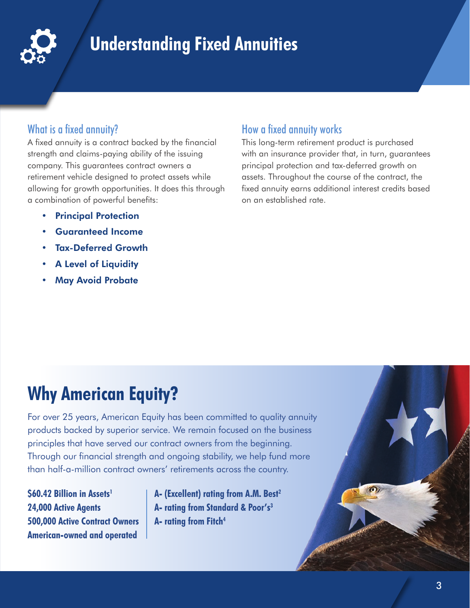

## **Understanding Fixed Annuities**

#### What is a fixed annuity?

A fixed annuity is a contract backed by the financial strength and claims-paying ability of the issuing company. This guarantees contract owners a retirement vehicle designed to protect assets while allowing for growth opportunities. It does this through a combination of powerful benefits:

- Principal Protection
- Guaranteed Income
- Tax-Deferred Growth
- **A Level of Liquidity**
- **May Avoid Probate**

### How a fixed annuity works

This long-term retirement product is purchased with an insurance provider that, in turn, guarantees principal protection and tax-deferred growth on assets. Throughout the course of the contract, the fixed annuity earns additional interest credits based on an established rate.

## **Why American Equity?**

For over 25 years, American Equity has been committed to quality annuity products backed by superior service. We remain focused on the business principles that have served our contract owners from the beginning. Through our financial strength and ongoing stability, we help fund more than half-a-million contract owners' retirements across the country.

**\$60.42 Billion in Assets<sup>1</sup> 24,000 Active Agents 500,000 Active Contract Owners American-owned and operated**

**A- (Excellent) rating from A.M. Best2 A- rating from Standard & Poor's3 A- rating from Fitch4**

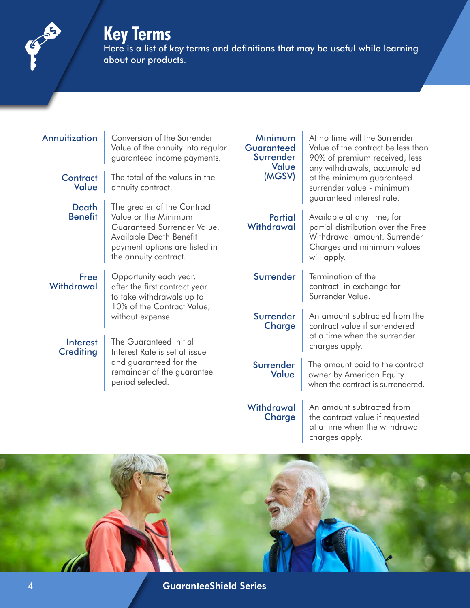

## **Key Terms**

Here is a list of key terms and definitions that may be useful while learning about our products.

#### Annuitization | Conversion of the Surrender

Value of the annuity into regular guaranteed income payments.

**Contract Value** 

> **Death Benefit**

The total of the values in the annuity contract.

The greater of the Contract Value or the Minimum Guaranteed Surrender Value. Available Death Benefit payment options are listed in the annuity contract.

Free **Withdrawal**  Opportunity each year, after the first contract year to take withdrawals up to 10% of the Contract Value, without expense.

**Interest Crediting** 

The Guaranteed initial Interest Rate is set at issue and guaranteed for the remainder of the guarantee period selected.

#### Minimum **Guaranteed Surrender** Value (MGSV) At no time will the Surrender Value of the contract be less than 90% of premium received, less any withdrawals, accumulated at the minimum guaranteed surrender value - minimum guaranteed interest rate. **Partial Withdrawal** Available at any time, for partial distribution over the Free Withdrawal amount. Surrender Charges and minimum values will apply. Surrender Fermination of the contract in exchange for Surrender Value. Surrender **Charge** An amount subtracted from the contract value if surrendered at a time when the surrender charges apply. Surrender Value The amount paid to the contract owner by American Equity when the contract is surrendered. **Withdrawal Charge** An amount subtracted from the contract value if requested

at a time when the withdrawal charges apply.

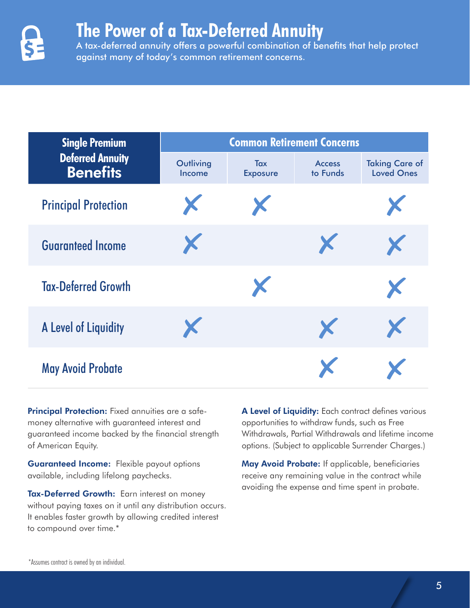

## **The Power of a Tax-Deferred Annuity**

A tax-deferred annuity offers a powerful combination of benefits that help protect against many of today's common retirement concerns.

| <b>Single Premium</b><br><b>Deferred Annuity</b><br><b>Benefits</b> | <b>Common Retirement Concerns</b> |                        |                           |                                            |  |  |
|---------------------------------------------------------------------|-----------------------------------|------------------------|---------------------------|--------------------------------------------|--|--|
|                                                                     | Outliving<br>Income               | Tax<br><b>Exposure</b> | <b>Access</b><br>to Funds | <b>Taking Care of</b><br><b>Loved Ones</b> |  |  |
| <b>Principal Protection</b>                                         | X                                 | X                      |                           |                                            |  |  |
| <b>Guaranteed Income</b>                                            | X                                 |                        | X                         | X                                          |  |  |
| <b>Tax-Deferred Growth</b>                                          |                                   | X                      |                           | X                                          |  |  |
| A Level of Liquidity                                                | X                                 |                        | X                         | X                                          |  |  |
| <b>May Avoid Probate</b>                                            |                                   |                        | X                         |                                            |  |  |

**Principal Protection:** Fixed annuities are a safemoney alternative with guaranteed interest and guaranteed income backed by the financial strength of American Equity.

**Guaranteed Income:** Flexible payout options available, including lifelong paychecks.

Tax-Deferred Growth: Earn interest on money without paying taxes on it until any distribution occurs. It enables faster growth by allowing credited interest to compound over time.\*

A Level of Liquidity: Each contract defines various opportunities to withdraw funds, such as Free Withdrawals, Partial Withdrawals and lifetime income options. (Subject to applicable Surrender Charges.)

May Avoid Probate: If applicable, beneficiaries receive any remaining value in the contract while avoiding the expense and time spent in probate.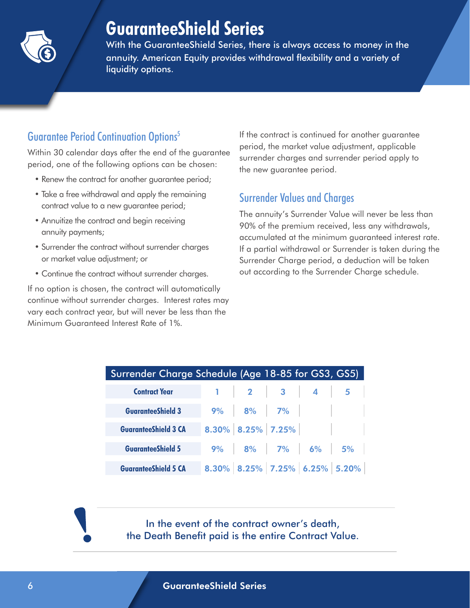

## **GuaranteeShield Series**

With the GuaranteeShield Series, there is always access to money in the annuity. American Equity provides withdrawal flexibility and a variety of liquidity options.

## Guarantee Period Continuation Options5

Within 30 calendar days after the end of the guarantee period, one of the following options can be chosen:

- Renew the contract for another guarantee period;
- Take a free withdrawal and apply the remaining contract value to a new guarantee period;
- Annuitize the contract and begin receiving annuity payments;
- Surrender the contract without surrender charges or market value adjustment; or
- Continue the contract without surrender charges.

If no option is chosen, the contract will automatically continue without surrender charges. Interest rates may vary each contract year, but will never be less than the Minimum Guaranteed Interest Rate of 1%.

If the contract is continued for another guarantee period, the market value adjustment, applicable surrender charges and surrender period apply to the new guarantee period.

### Surrender Values and Charges

The annuity's Surrender Value will never be less than 90% of the premium received, less any withdrawals, accumulated at the minimum guaranteed interest rate. If a partial withdrawal or Surrender is taken during the Surrender Charge period, a deduction will be taken out according to the Surrender Charge schedule.

| Surrender Charge Schedule (Age 18-85 for GS3, GS5) |  |  |                                                                                 |  |                |  |  |
|----------------------------------------------------|--|--|---------------------------------------------------------------------------------|--|----------------|--|--|
| <b>Contract Year</b>                               |  |  | $1 \quad 2 \quad 3 \quad 4$                                                     |  | $\overline{5}$ |  |  |
| <b>GuaranteeShield 3</b>                           |  |  | $9\%$ 8% 7%                                                                     |  |                |  |  |
| <b>GuaranteeShield 3 CA</b>                        |  |  | $\boldsymbol{8.30\%}\ \boldsymbol{8.25\%}\ \boldsymbol{7.25\%}\ \boldsymbol{1}$ |  |                |  |  |
| <b>GuaranteeShield 5</b>                           |  |  | $9\%$ 8% 7% 6% 5%                                                               |  |                |  |  |
| <b>GuaranteeShield 5 CA</b>                        |  |  | 8.30% 8.25% 7.25% 6.25% 5.20%                                                   |  |                |  |  |

In the event of the contract owner's death, the Death Benefit paid is the entire Contract Value.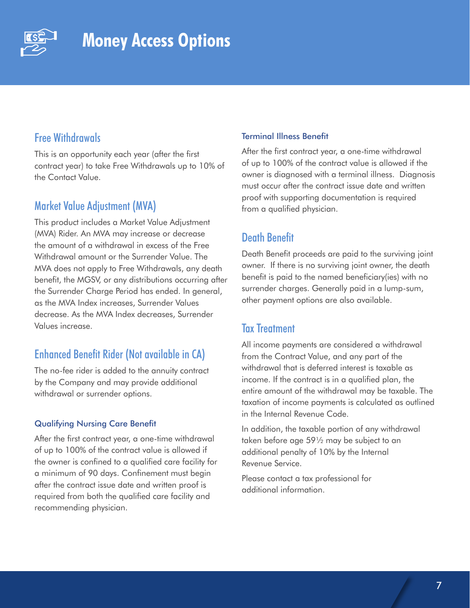

### Free Withdrawals

This is an opportunity each year (after the first contract year) to take Free Withdrawals up to 10% of the Contact Value.

### Market Value Adjustment (MVA)

This product includes a Market Value Adjustment (MVA) Rider. An MVA may increase or decrease the amount of a withdrawal in excess of the Free Withdrawal amount or the Surrender Value. The MVA does not apply to Free Withdrawals, any death benefit, the MGSV, or any distributions occurring after the Surrender Charge Period has ended. In general, as the MVA Index increases, Surrender Values decrease. As the MVA Index decreases, Surrender Values increase.

### Enhanced Benefit Rider (Not available in CA)

The no-fee rider is added to the annuity contract by the Company and may provide additional withdrawal or surrender options.

#### Qualifying Nursing Care Benefit

After the first contract year, a one-time withdrawal of up to 100% of the contract value is allowed if the owner is confined to a qualified care facility for a minimum of 90 days. Confinement must begin after the contract issue date and written proof is required from both the qualified care facility and recommending physician.

#### Terminal Illness Benefit

After the first contract year, a one-time withdrawal of up to 100% of the contract value is allowed if the owner is diagnosed with a terminal illness. Diagnosis must occur after the contract issue date and written proof with supporting documentation is required from a qualified physician.

### Death Benefit

Death Benefit proceeds are paid to the surviving joint owner. If there is no surviving joint owner, the death benefit is paid to the named beneficiary(ies) with no surrender charges. Generally paid in a lump-sum, other payment options are also available.

#### Tax Treatment

All income payments are considered a withdrawal from the Contract Value, and any part of the withdrawal that is deferred interest is taxable as income. If the contract is in a qualified plan, the entire amount of the withdrawal may be taxable. The taxation of income payments is calculated as outlined in the Internal Revenue Code.

In addition, the taxable portion of any withdrawal taken before age 59½ may be subject to an additional penalty of 10% by the Internal Revenue Service.

Please contact a tax professional for additional information.